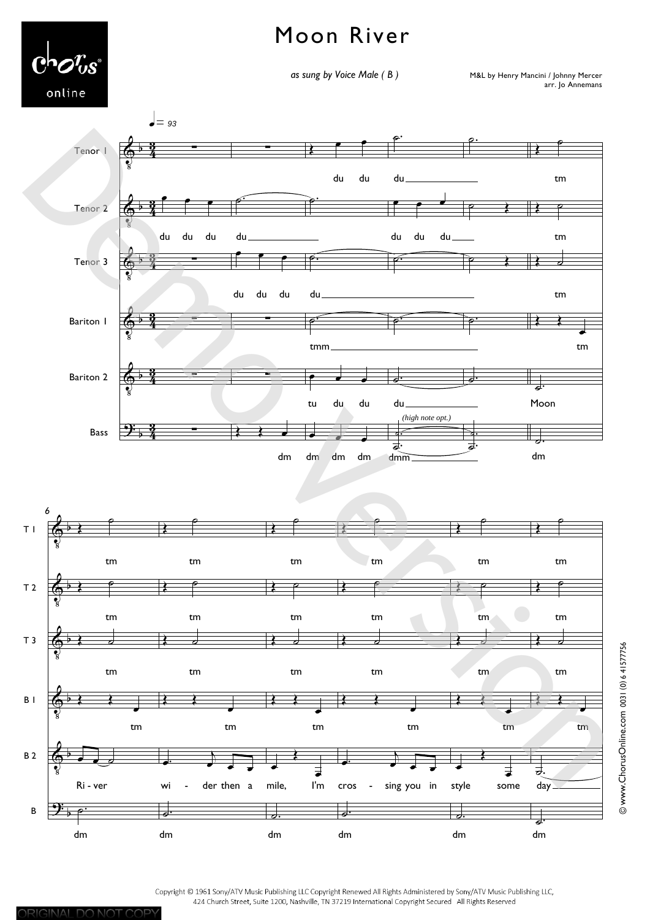## Moon River



as sung by Voice Male (B)

M&L by Henry Mancini / Johnny Mercer arr. Jo Annemans





Copyright © 1961 Sony/ATV Music Publishing LLC Copyright Renewed All Rights Administered by Sony/ATV Music Publishing LLC, 424 Church Street, Suite 1200, Nashville, TN 37219 International Copyright Secured All Rights Reserved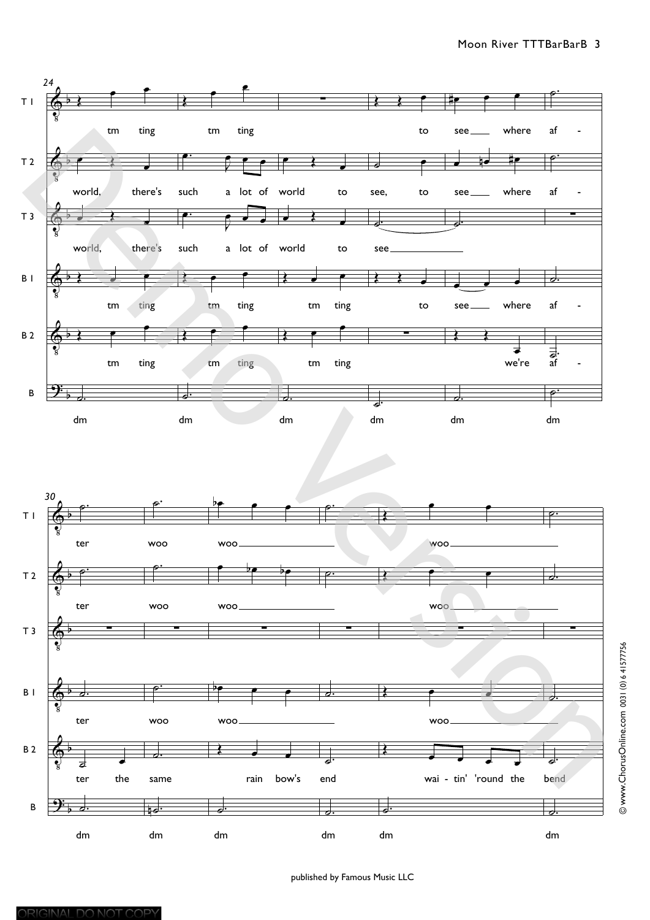



published by Famous Music LLC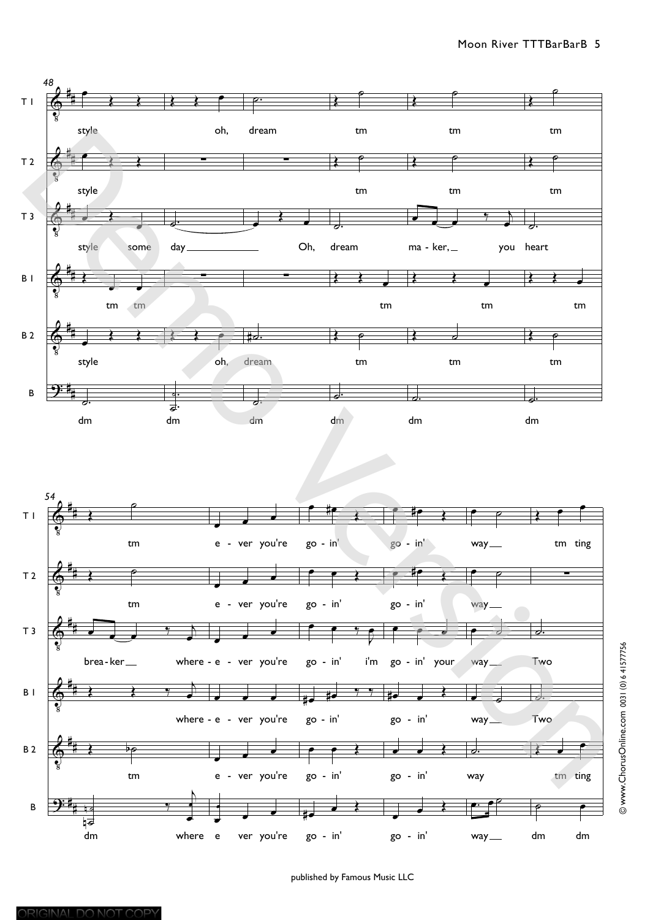



@www.ChorusOnline.com 0031 (0) 6 41577756

published by Famous Music LLC